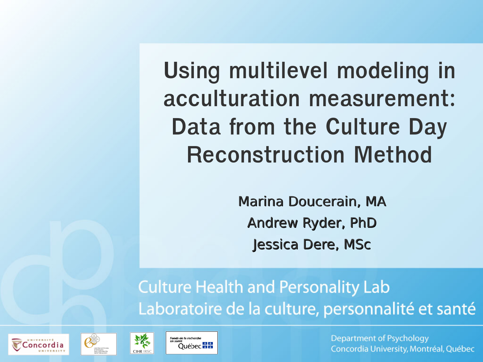**Using multilevel modeling in acculturation measurement: Data from the Culture Day Reconstruction Method**

> Marina Doucerain, MA Andrew Ryder, PhD Jessica Dere, MSc

#### **Culture Health and Personality Lab** Laboratoire de la culture, personnalité et santé







**Department of Psychology** Concordia University, Montréal, Québec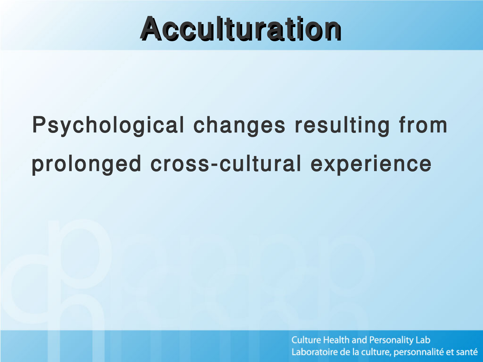# Acculturation

# Psychological changes resulting from prolonged cross-cultural experience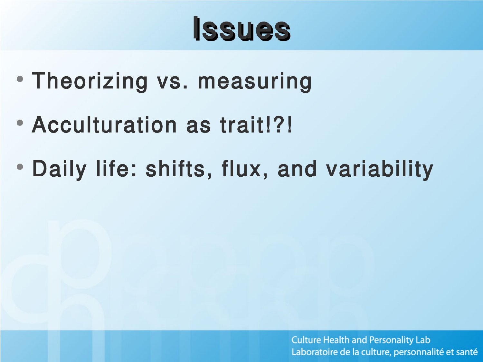# Issues

- Theorizing vs. measuring
- Acculturation as trait!?!
- Daily life: shifts, flux, and variability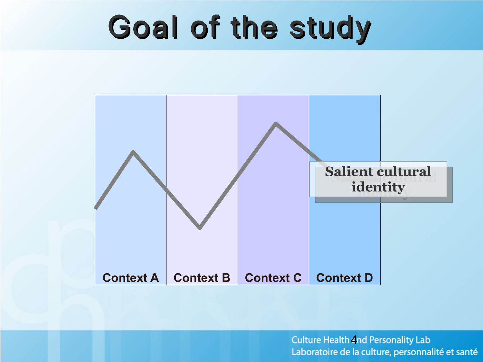# Goal of the study

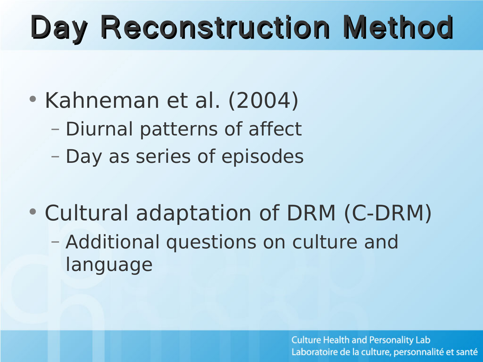# Day Reconstruction Method

- Kahneman et al. (2004)
	- Diurnal patterns of affect
	- Day as series of episodes
- Cultural adaptation of DRM (C-DRM) – Additional questions on culture and language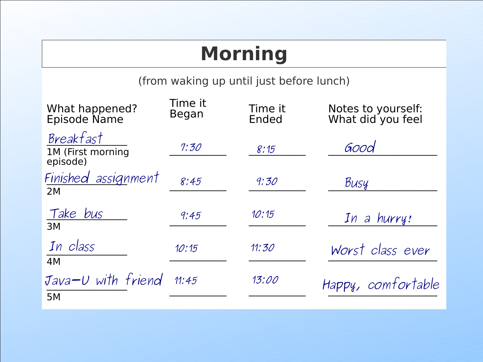### **Morning**

(from waking up until just before lunch)

| What happened?<br>Episode Name             | Time it<br>Began | Time it<br>Ended | Notes to yourself:<br>What did you feel |
|--------------------------------------------|------------------|------------------|-----------------------------------------|
| Breakfast<br>1M (First morning<br>episode) | 7:30             | 8:15             | Good                                    |
| Finished assignment<br>2M                  | 8:45             | 9:30             | Busy                                    |
| Take bus<br>3M                             | 9:45             | 10:15            | In a hurry!                             |
| In class<br>4M                             | 10:15            | 11:30            | Worst class ever                        |
| Java-U with friend<br>5M                   | 11:45            | 13:00            | Happy, comfortable                      |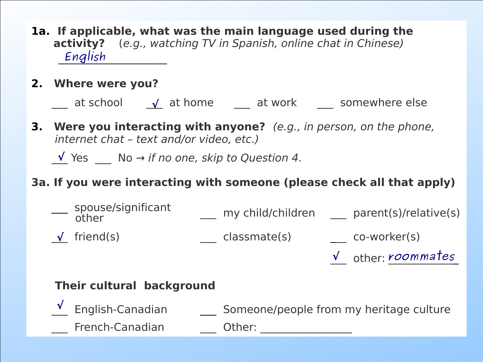- **1a. If applicable, what was the main language used during the activity?** (e.g., watching TV in Spanish, online chat in Chinese) \_\_\_\_\_\_\_\_\_\_\_\_\_\_\_\_\_\_ **English**
- **2. Where were you?**

\_\_\_ at school \_\_\_ at home \_\_\_ at work \_\_\_ somewhere else **√**

**3. Were you interacting with anyone?** (e.g., in person, on the phone, internet chat – text and/or video, etc.)

 $\sqrt{2}$  Yes  $\sqrt{2}$  No  $\rightarrow$  if no one, skip to Question 4.

#### **3a. If you were interacting with someone (please check all that apply)**



#### **Their cultural background**

 \_\_\_ English-Canadian \_\_\_ Someone/people from my heritage culture **√**French-Canadian **Dumon Other:**  $\blacksquare$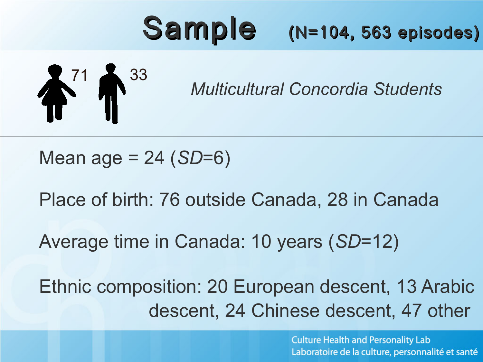# Sample (N=104, 563 episodes)

$$
\overset{3}{\blacklozenge}^{\color{blue}{71}} \overset{3}{\blacklozenge}^{\color{blue}{33}}
$$

*Multicultural Concordia Students*

Mean age = 24 (*SD*=6)

Place of birth: 76 outside Canada, 28 in Canada

Average time in Canada: 10 years (*SD*=12)

Ethnic composition: 20 European descent, 13 Arabic descent, 24 Chinese descent, 47 other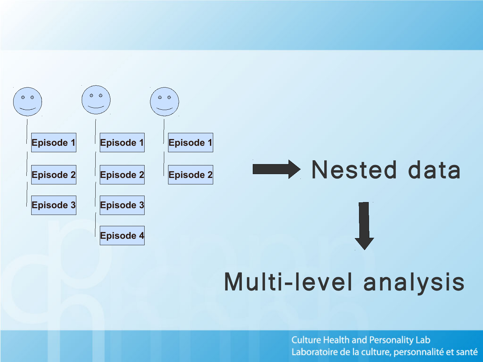

## Multi-level analysis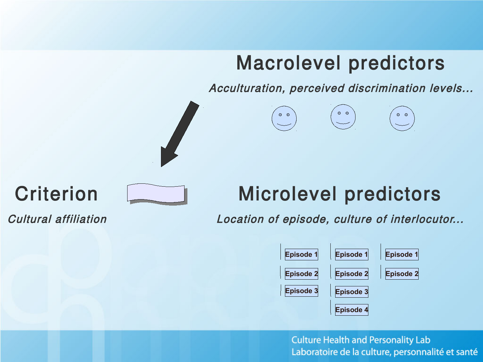#### Macrolevel predictors

Acculturation, perceived discrimination levels...



### **Criterion**



### Microlevel predictors

Cultural affiliation

Location of episode, culture of interlocutor...

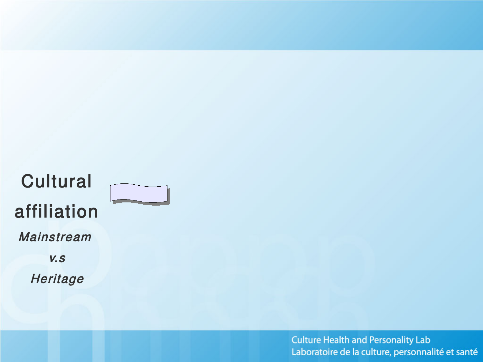### **Cultural** affiliation Mainstream v.s **Heritage**

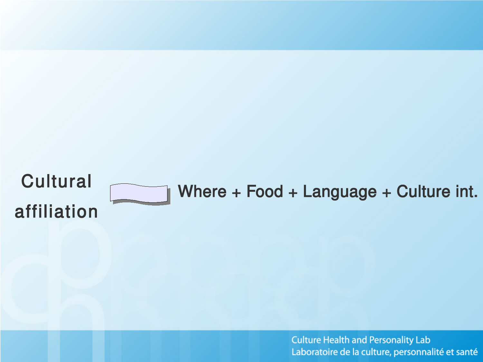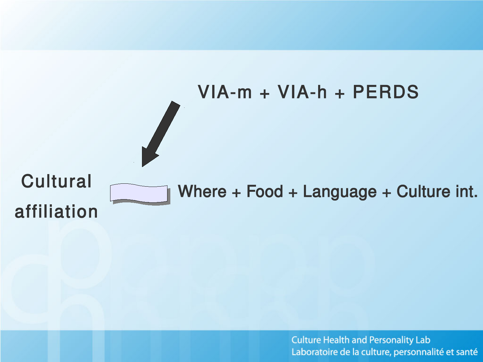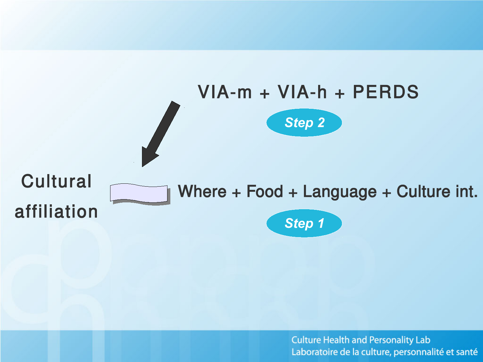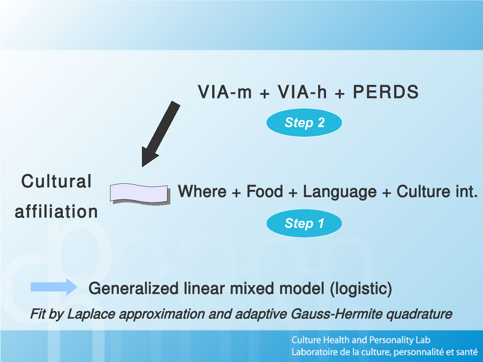

#### Generalized linear mixed model (logistic)

Fit by Laplace approximation and adaptive Gauss-Hermite quadrature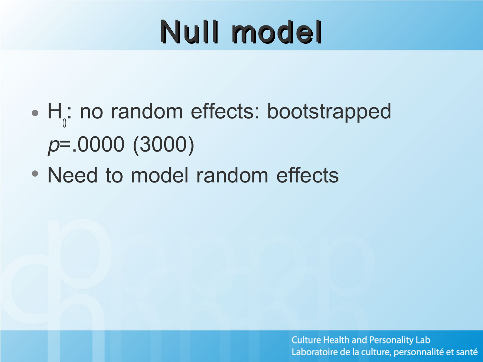# Null model

- H<sub>0</sub>: no random effects: bootstrapped p=.0000 (3000)
- Need to model random effects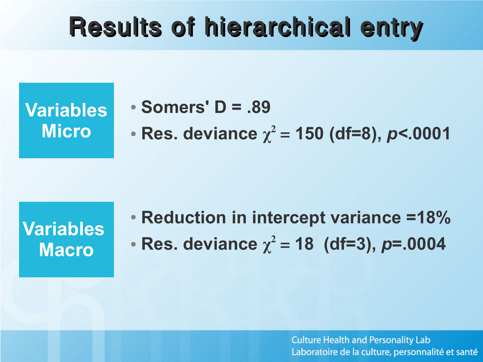## Results of hierarchical entry

**Variables Micro**

● **Somers' D = .89**

• **Res. deviance**  $\chi^2 = 150$  (df=8),  $p < .0001$ 

**Variables Macro**

● **Reduction in intercept variance =18%**  • **Res. deviance**  $\chi^2 = 18$  (df=3), *p*=.0004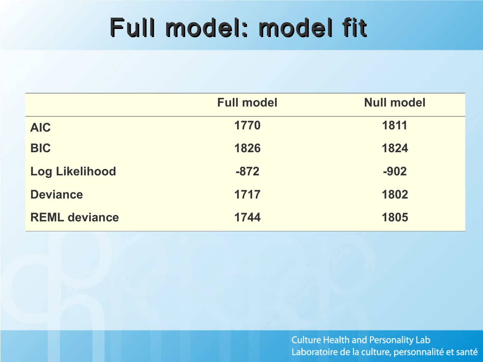## Full model: model fit

|                       | <b>Full model</b> | <b>Null model</b> |
|-----------------------|-------------------|-------------------|
| <b>AIC</b>            | 1770              | 1811              |
| <b>BIC</b>            | 1826              | 1824              |
| <b>Log Likelihood</b> | $-872$            | $-902$            |
| <b>Deviance</b>       | 1717              | 1802              |
| <b>REML deviance</b>  | 1744              | 1805              |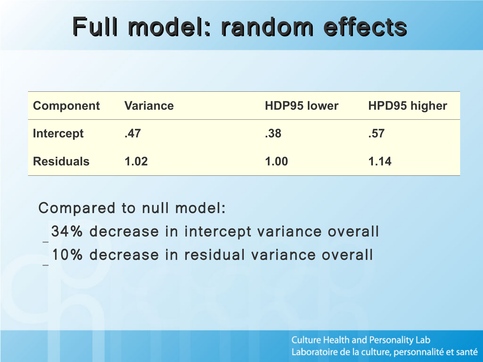## Full model: random effects

| <b>Component</b> | <b>Variance</b> | <b>HDP95 lower</b> | <b>HPD95 higher</b> |
|------------------|-----------------|--------------------|---------------------|
| <b>Intercept</b> | .47             | .38                | .57                 |
| <b>Residuals</b> | 1.02            | 1.00               | 1.14                |

#### Compared to null model:

– 34% decrease in intercept variance overall – 10% decrease in residual variance overall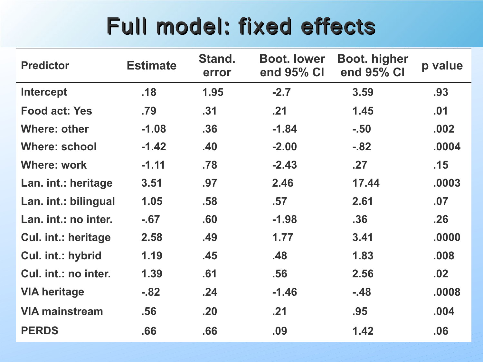### Full model: fixed effects

| <b>Predictor</b>      | <b>Estimate</b> | Stand.<br>error | <b>Boot, lower</b><br>end 95% CI | <b>Boot. higher</b><br>end 95% CI | p value |
|-----------------------|-----------------|-----------------|----------------------------------|-----------------------------------|---------|
| <b>Intercept</b>      | .18             | 1.95            | $-2.7$                           | 3.59                              | .93     |
| <b>Food act: Yes</b>  | .79             | .31             | .21                              | 1.45                              | .01     |
| <b>Where: other</b>   | $-1.08$         | .36             | $-1.84$                          | $-.50$                            | .002    |
| <b>Where: school</b>  | $-1.42$         | .40             | $-2.00$                          | $-.82$                            | .0004   |
| <b>Where: work</b>    | $-1.11$         | .78             | $-2.43$                          | .27                               | .15     |
| Lan. int.: heritage   | 3.51            | .97             | 2.46                             | 17.44                             | .0003   |
| Lan. int.: bilingual  | 1.05            | .58             | .57                              | 2.61                              | .07     |
| Lan. int.: no inter.  | $-67$           | .60             | $-1.98$                          | .36                               | .26     |
| Cul. int.: heritage   | 2.58            | .49             | 1.77                             | 3.41                              | .0000   |
| Cul. int.: hybrid     | 1.19            | .45             | .48                              | 1.83                              | .008    |
| Cul. int.: no inter.  | 1.39            | .61             | .56                              | 2.56                              | .02     |
| <b>VIA heritage</b>   | $-82$           | .24             | $-1.46$                          | $-.48$                            | .0008   |
| <b>VIA mainstream</b> | .56             | .20             | .21                              | .95                               | .004    |
| <b>PERDS</b>          | .66             | .66             | .09                              | 1.42                              | .06     |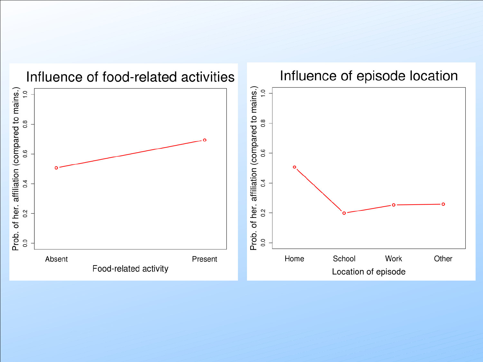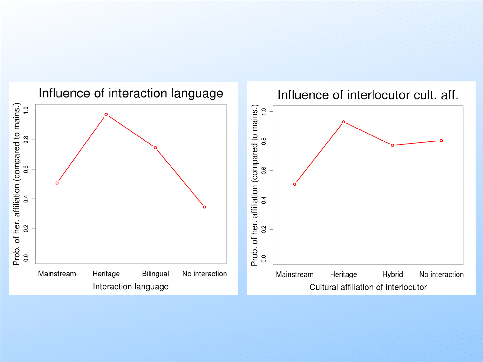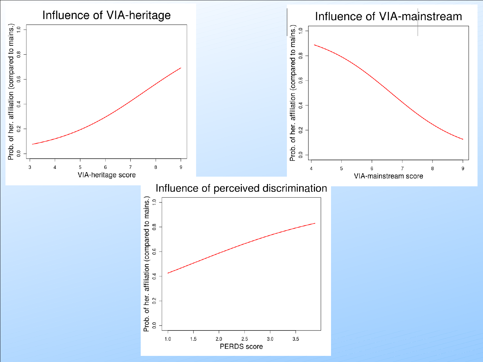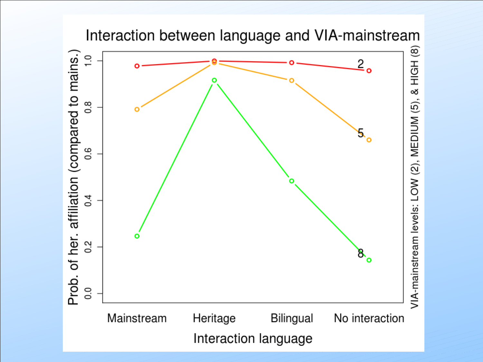

Interaction between language and VIA-mainstream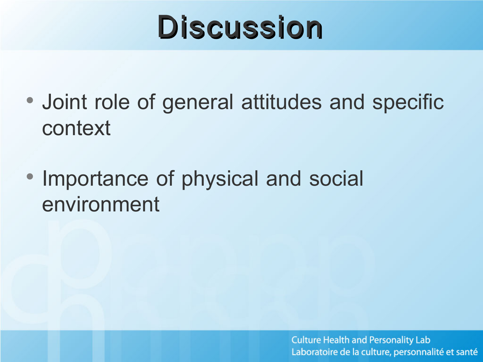# **Discussion**

- Joint role of general attitudes and specific context
- Importance of physical and social environment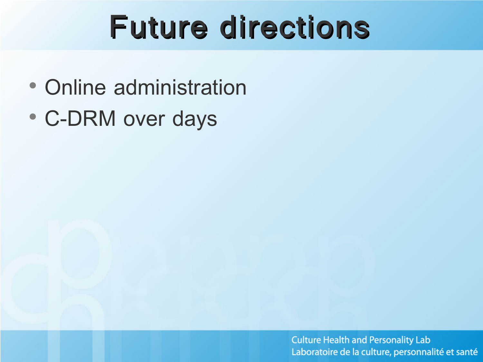# Future directions

- Online administration
- C-DRM over days